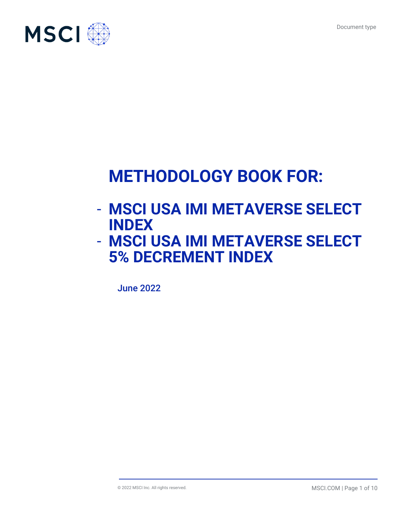

# **METHODOLOGY BOOK FOR:**

- **MSCI USA IMI METAVERSE SELECT INDEX**
- **MSCI USA IMI METAVERSE SELECT 5% DECREMENT INDEX**

June 2022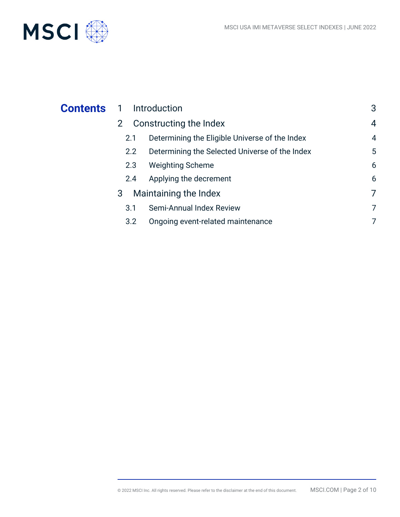

| <b>Contents</b> | Introduction<br>$\overline{1}$ |                                                | 3              |
|-----------------|--------------------------------|------------------------------------------------|----------------|
|                 | 2 <sup>1</sup>                 | Constructing the Index                         | $\overline{4}$ |
|                 | 2.1                            | Determining the Eligible Universe of the Index | $\overline{4}$ |
|                 | 2.2                            | Determining the Selected Universe of the Index | 5              |
|                 | 2.3                            | <b>Weighting Scheme</b>                        | 6              |
|                 | 2.4                            | Applying the decrement                         | 6              |
|                 | 3                              | Maintaining the Index                          | 7              |
|                 | 3.1                            | Semi-Annual Index Review                       | 7              |
|                 | 3.2                            | Ongoing event-related maintenance              | 7              |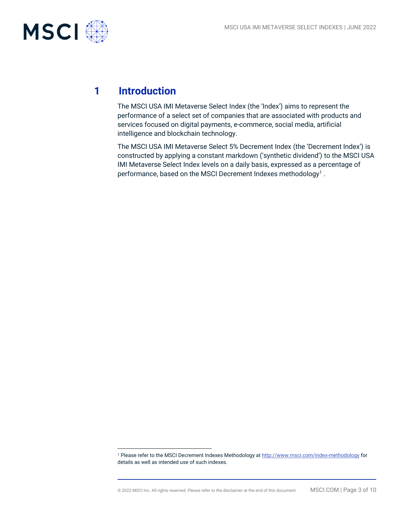

# **1 Introduction**

The MSCI USA IMI Metaverse Select Index (the 'Index') aims to represent the performance of a select set of companies that are associated with products and services focused on digital payments, e-commerce, social media, artificial intelligence and blockchain technology.

The MSCI USA IMI Metaverse Select 5% Decrement Index (the 'Decrement Index') is constructed by applying a constant markdown ('synthetic dividend') to the MSCI USA IMI Metaverse Select Index levels on a daily basis, expressed as a percentage of performance, based on the MSCI Decrement Indexes methodology $^1$  .

<sup>1</sup> Please refer to the MSCI Decrement Indexes Methodology at<http://www.msci.com/index-methodology> for details as well as intended use of such indexes.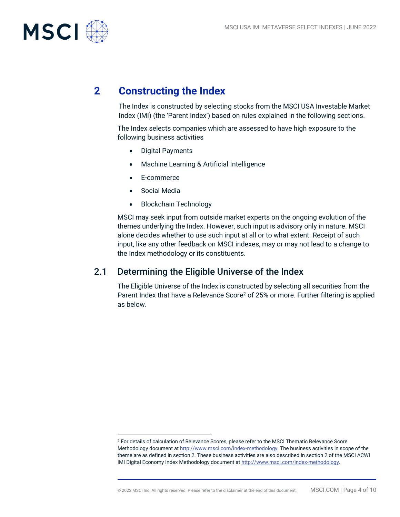

### **2 Constructing the Index**

The Index is constructed by selecting stocks from the MSCI USA Investable Market Index (IMI) (the 'Parent Index') based on rules explained in the following sections.

The Index selects companies which are assessed to have high exposure to the following business activities

- Digital Payments
- Machine Learning & Artificial Intelligence
- E-commerce
- Social Media
- Blockchain Technology

MSCI may seek input from outside market experts on the ongoing evolution of the themes underlying the Index. However, such input is advisory only in nature. MSCI alone decides whether to use such input at all or to what extent. Receipt of such input, like any other feedback on MSCI indexes, may or may not lead to a change to the Index methodology or its constituents.

#### 2.1 Determining the Eligible Universe of the Index

The Eligible Universe of the Index is constructed by selecting all securities from the Parent Index that have a Relevance Score<sup>2</sup> of 25% or more. Further filtering is applied as below.

<sup>2</sup> For details of calculation of Relevance Scores, please refer to the MSCI Thematic Relevance Score Methodology document a[t http://www.msci.com/index-methodology.](http://www.msci.com/index-methodology) The business activities in scope of the theme are as defined in section 2. These business activities are also described in section 2 of the MSCI ACWI IMI Digital Economy Index Methodology document a[t http://www.msci.com/index-methodology.](http://www.msci.com/index-methodology)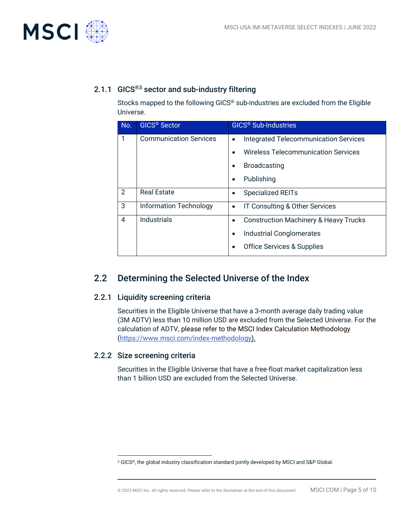

### 2.1.1 GICS®3 sector and sub-industry filtering

Stocks mapped to the following GICS® sub-industries are excluded from the Eligible Universe.

| No. | <b>GICS<sup>®</sup> Sector</b> | <b>GICS<sup>®</sup></b> Sub-Industries                        |
|-----|--------------------------------|---------------------------------------------------------------|
| 1   | <b>Communication Services</b>  | <b>Integrated Telecommunication Services</b><br>$\bullet$     |
|     |                                | <b>Wireless Telecommunication Services</b>                    |
|     |                                | <b>Broadcasting</b><br>$\bullet$                              |
|     |                                | Publishing<br>$\bullet$                                       |
| 2   | <b>Real Estate</b>             | <b>Specialized REITs</b><br>$\bullet$                         |
| 3   | Information Technology         | IT Consulting & Other Services<br>$\bullet$                   |
| 4   | <b>Industrials</b>             | <b>Construction Machinery &amp; Heavy Trucks</b><br>$\bullet$ |
|     |                                | <b>Industrial Conglomerates</b><br>$\bullet$                  |
|     |                                | <b>Office Services &amp; Supplies</b>                         |

### 2.2 Determining the Selected Universe of the Index

#### 2.2.1 Liquidity screening criteria

Securities in the Eligible Universe that have a 3-month average daily trading value (3M ADTV) less than 10 million USD are excluded from the Selected Universe. For the calculation of ADTV, please refer to the MSCI Index Calculation Methodology [\(https://www.msci.com/index-methodology\)](https://www.msci.com/index-methodology).

#### 2.2.2 Size screening criteria

Securities in the Eligible Universe that have a free-float market capitalization less than 1 billion USD are excluded from the Selected Universe.

<sup>3</sup> GICS®, the global industry classification standard jointly developed by MSCI and S&P Global.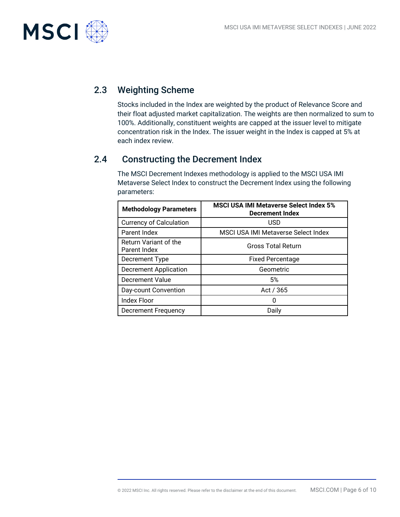

### 2.3 Weighting Scheme

Stocks included in the Index are weighted by the product of Relevance Score and their float adjusted market capitalization. The weights are then normalized to sum to 100%. Additionally, constituent weights are capped at the issuer level to mitigate concentration risk in the Index. The issuer weight in the Index is capped at 5% at each index review.

### 2.4 Constructing the Decrement Index

The MSCI Decrement Indexes methodology is applied to the MSCI USA IMI Metaverse Select Index to construct the Decrement Index using the following parameters:

| <b>Methodology Parameters</b>         | <b>MSCI USA IMI Metaverse Select Index 5%</b><br><b>Decrement Index</b> |
|---------------------------------------|-------------------------------------------------------------------------|
| <b>Currency of Calculation</b>        | USD                                                                     |
| Parent Index                          | MSCI USA IMI Metaverse Select Index                                     |
| Return Variant of the<br>Parent Index | <b>Gross Total Return</b>                                               |
| Decrement Type                        | <b>Fixed Percentage</b>                                                 |
| <b>Decrement Application</b>          | Geometric                                                               |
| Decrement Value                       | 5%                                                                      |
| Day-count Convention                  | Act / 365                                                               |
| <b>Index Floor</b>                    | n                                                                       |
| <b>Decrement Frequency</b>            | Daily                                                                   |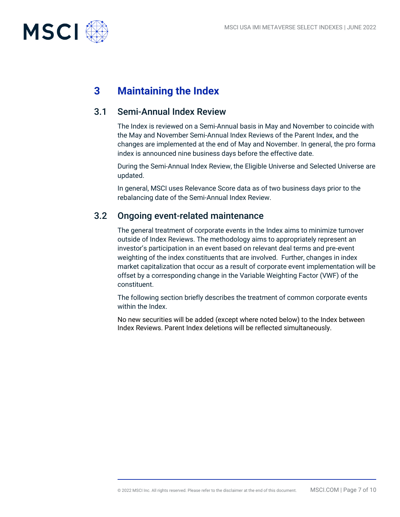

# **3 Maintaining the Index**

### 3.1 Semi-Annual Index Review

The Index is reviewed on a Semi-Annual basis in May and November to coincide with the May and November Semi-Annual Index Reviews of the Parent Index, and the changes are implemented at the end of May and November. In general, the pro forma index is announced nine business days before the effective date.

During the Semi-Annual Index Review, the Eligible Universe and Selected Universe are updated.

In general, MSCI uses Relevance Score data as of two business days prior to the rebalancing date of the Semi-Annual Index Review.

### 3.2 Ongoing event-related maintenance

The general treatment of corporate events in the Index aims to minimize turnover outside of Index Reviews. The methodology aims to appropriately represent an investor's participation in an event based on relevant deal terms and pre-event weighting of the index constituents that are involved. Further, changes in index market capitalization that occur as a result of corporate event implementation will be offset by a corresponding change in the Variable Weighting Factor (VWF) of the constituent.

The following section briefly describes the treatment of common corporate events within the Index

No new securities will be added (except where noted below) to the Index between Index Reviews. Parent Index deletions will be reflected simultaneously.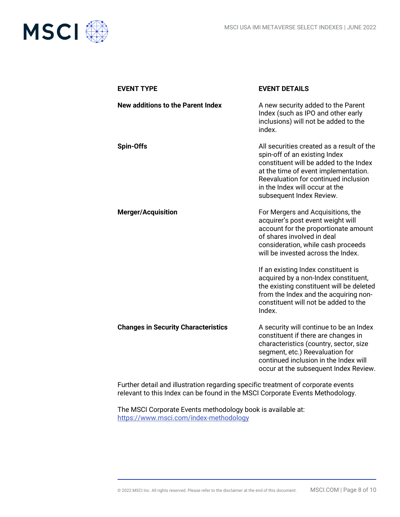

| <b>EVENT DETAILS</b>                                                                                                                                                                                                                                               |
|--------------------------------------------------------------------------------------------------------------------------------------------------------------------------------------------------------------------------------------------------------------------|
| A new security added to the Parent<br>Index (such as IPO and other early<br>inclusions) will not be added to the<br>index.                                                                                                                                         |
| All securities created as a result of the<br>spin-off of an existing Index<br>constituent will be added to the Index<br>at the time of event implementation.<br>Reevaluation for continued inclusion<br>in the Index will occur at the<br>subsequent Index Review. |
| For Mergers and Acquisitions, the<br>acquirer's post event weight will<br>account for the proportionate amount<br>of shares involved in deal<br>consideration, while cash proceeds<br>will be invested across the Index.                                           |
| If an existing Index constituent is<br>acquired by a non-Index constituent,<br>the existing constituent will be deleted<br>from the Index and the acquiring non-<br>constituent will not be added to the<br>Index.                                                 |
| A security will continue to be an Index<br>constituent if there are changes in<br>characteristics (country, sector, size<br>segment, etc.) Reevaluation for<br>continued inclusion in the Index will<br>occur at the subsequent Index Review.                      |
|                                                                                                                                                                                                                                                                    |

Further detail and illustration regarding specific treatment of corporate events relevant to this Index can be found in the MSCI Corporate Events Methodology.

The MSCI Corporate Events methodology book is available at: <https://www.msci.com/index-methodology>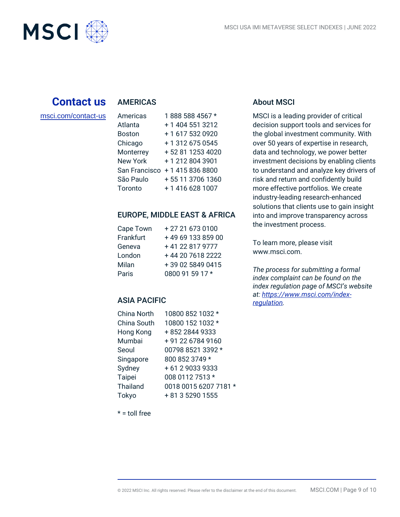

## **Contact us**

# [msci.com/contact-us](https://www.msci.com/contact-us)

AMERICAS

| Americas        | 1888 588 4567 *  |
|-----------------|------------------|
| Atlanta         | + 1 404 551 3212 |
| <b>Boston</b>   | +16175320920     |
| Chicago         | + 1 312 675 0545 |
| Monterrey       | +52 81 1253 4020 |
| <b>New York</b> | +12128043901     |
| San Francisco   | +14158368800     |
| São Paulo       | +55 11 3706 1360 |
| Toronto         | +14166281007     |

#### EUROPE, MIDDLE EAST & AFRICA

| Cape Town | + 27 21 673 0100  |
|-----------|-------------------|
| Frankfurt | +49 69 133 859 00 |
| Geneva    | +41 22 817 9777   |
| London    | +44 20 7618 2222  |
| Milan     | +39 02 5849 0415  |
| Paris     | 0800 91 59 17 *   |

#### ASIA PACIFIC

| China North     | 10800 852 1032 *      |
|-----------------|-----------------------|
| China South     | 10800 152 1032 *      |
| Hong Kong       | +852 2844 9333        |
| Mumbai          | +91 22 6784 9160      |
| Seoul           | 00798 8521 3392 *     |
| Singapore       | 800 852 3749 *        |
| Sydney          | +61290339333          |
| <b>Taipei</b>   | 008 0112 7513 *       |
| <b>Thailand</b> | 0018 0015 6207 7181 * |
| Tokyo           | + 81 3 5290 1555      |
|                 |                       |

#### About MSCI

MSCI is a leading provider of critical decision support tools and services for the global investment community. With over 50 years of expertise in research, data and technology, we power better investment decisions by enabling clients to understand and analyze key drivers of risk and return and confidently build more effective portfolios. We create industry-leading research-enhanced solutions that clients use to gain insight into and improve transparency across the investment process.

To learn more, please visit www.msci.com.

*The process for submitting a formal index complaint can be found on the index regulation page of MSCI's website at: [https://www.msci.com/index](https://www.msci.com/index-regulation)[regulation.](https://www.msci.com/index-regulation)*

 $* =$  toll free